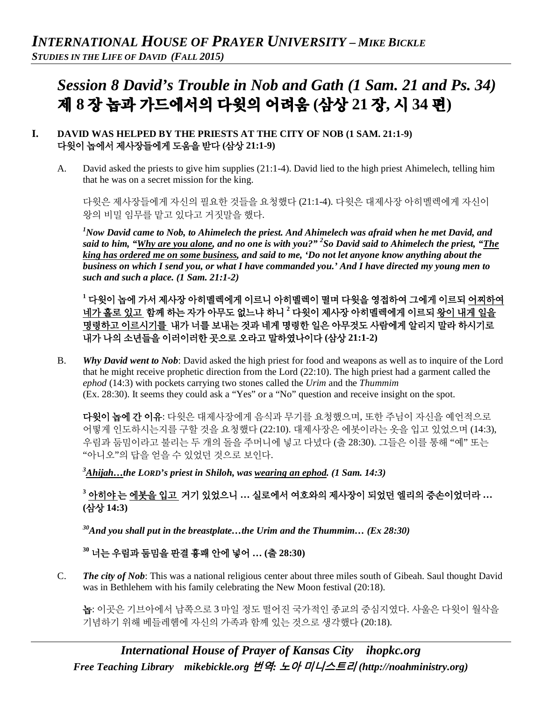# *Session 8 David's Trouble in Nob and Gath (1 Sam. 21 and Ps. 34)*  제 **8** 장 놉과 가드에서의 다윗의 어려움 **(**삼상 **21** 장**,** 시 **34** 편**)**

## **I. DAVID WAS HELPED BY THE PRIESTS AT THE CITY OF NOB (1 SAM. 21:1-9)** 다윗이 놉에서 제사장들에게 도움을 받다 **(**삼상 **21:1-9)**

A. David asked the priests to give him supplies (21:1-4). David lied to the high priest Ahimelech, telling him that he was on a secret mission for the king.

다윗은 제사장들에게 자신의 필요한 것들을 요청했다 (21:1-4). 다윗은 대제사장 아히멜렉에게 자신이 왕의 비밀 임무를 맡고 있다고 거짓말을 했다.

*1 Now David came to Nob, to Ahimelech the priest. And Ahimelech was afraid when he met David, and said to him, "Why are you alone, and no one is with you?" 2 So David said to Ahimelech the priest, "The king has ordered me on some business, and said to me, 'Do not let anyone know anything about the business on which I send you, or what I have commanded you.' And I have directed my young men to such and such a place. (1 Sam. 21:1-2)*

**<sup>1</sup>** 다윗이 놉에 가서 제사장 아히멜렉에게 이르니 아히멜렉이 떨며 다윗을 영접하여 그에게 이르되 어찌하여 네가 홀로 있고 함께 하는 자가 아무도 없느냐 하니 **<sup>2</sup>** 다윗이 제사장 아히멜렉에게 이르되 왕이 내게 일을 명령하고 이르시기를 내가 너를 보내는 것과 네게 명령한 일은 아무것도 사람에게 알리지 말라 하시기로 내가 나의 소년들을 이러이러한 곳으로 오라고 말하였나이다 **(**삼상 **21:1-2)**

B. *Why David went to Nob*: David asked the high priest for food and weapons as well as to inquire of the Lord that he might receive prophetic direction from the Lord (22:10). The high priest had a garment called the *ephod* (14:3) with pockets carrying two stones called the *Urim* and the *Thummim*  (Ex. 28:30). It seems they could ask a "Yes" or a "No" question and receive insight on the spot.

다윗이 놉에 간 이유: 다윗은 대제사장에게 음식과 무기를 요청했으며, 또한 주님이 자신을 예언적으로 어떻게 인도하시는지를 구할 것을 요청했다 (22:10). 대제사장은 에봇이라는 옷을 입고 있었으며 (14:3), 우림과 둠밈이라고 불리는 두 개의 돌을 주머니에 넣고 다녔다 (출 28:30). 그들은 이를 통해 "예" 또는 "아니오"의 답을 얻을 수 있었던 것으로 보인다.

*3 Ahijah…the LORD's priest in Shiloh, was wearing an ephod. (1 Sam. 14:3)*

**<sup>3</sup>** 아히야 는 에봇을 입고 거기 있었으니 **…** 실로에서 여호와의 제사장이 되었던 엘리의 증손이었더라 **… (**삼상 **14:3)**

*30And you shall put in the breastplate…the Urim and the Thummim… (Ex 28:30)*

**<sup>30</sup>** 너는 우림과 둠밈을 판결 흉패 안에 넣어 **… (**출 **28:30)**

C. *The city of Nob*: This was a national religious center about three miles south of Gibeah. Saul thought David was in Bethlehem with his family celebrating the New Moon festival (20:18).

놉: 이곳은 기브아에서 남쪽으로 3 마일 정도 떨어진 국가적인 종교의 중심지였다. 사울은 다윗이 월삭을 기념하기 위해 베들레헴에 자신의 가족과 함께 있는 것으로 생각했다 (20:18).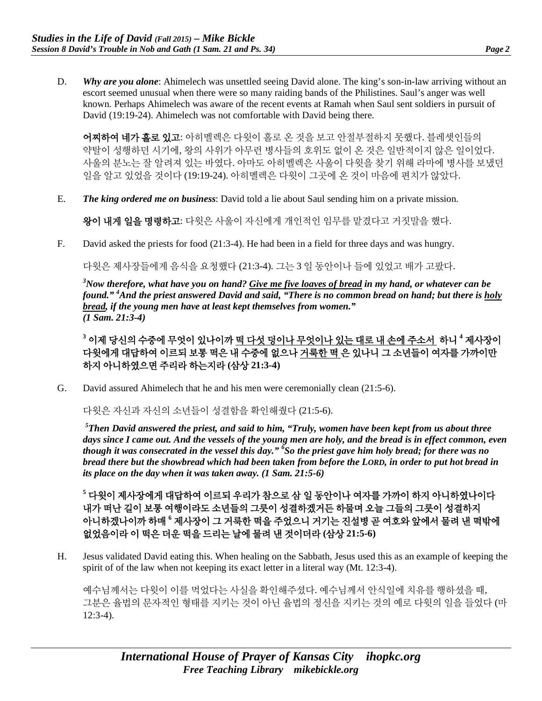D. *Why are you alone*: Ahimelech was unsettled seeing David alone. The king's son-in-law arriving without an escort seemed unusual when there were so many raiding bands of the Philistines. Saul's anger was well known. Perhaps Ahimelech was aware of the recent events at Ramah when Saul sent soldiers in pursuit of David (19:19-24). Ahimelech was not comfortable with David being there.

어찌하여 네가 홀로 있고: 아히멜렉은 다윗이 홀로 온 것을 보고 안절부절하지 못했다. 블레셋인들의 약탈이 성행하던 시기에, 왕의 사위가 아무런 병사들의 호위도 없이 온 것은 일반적이지 않은 일이었다. 사울의 분노는 잘 알려져 있는 바였다. 아마도 아히멜렉은 사울이 다윗을 찾기 위해 라마에 병사를 보냈던 일을 알고 있었을 것이다 (19:19-24). 아히멜렉은 다윗이 그곳에 온 것이 마음에 편치가 않았다.

E. *The king ordered me on business*: David told a lie about Saul sending him on a private mission.

왕이 내게 일을 명령하고: 다윗은 사울이 자신에게 개인적인 임무를 맡겼다고 거짓말을 했다.

F. David asked the priests for food (21:3-4). He had been in a field for three days and was hungry.

다윗은 제사장들에게 음식을 요청했다 (21:3-4). 그는 3 일 동안이나 들에 있었고 배가 고팠다.

*3 Now therefore, what have you on hand? Give me five loaves of bread in my hand, or whatever can be found." 4 And the priest answered David and said, "There is no common bread on hand; but there is holy bread, if the young men have at least kept themselves from women." (1 Sam. 21:3-4)*

**<sup>3</sup>** 이제 당신의 수중에 무엇이 있나이까 떡 다섯 덩이나 무엇이나 있는 대로 내 손에 주소서 하니 **<sup>4</sup>** 제사장이 다윗에게 대답하여 이르되 보통 떡은 내 수중에 없으나 거룩한 떡 은 있나니 그 소년들이 여자를 가까이만 하지 아니하였으면 주리라 하는지라 **(**삼상 **21:3-4)**

G. David assured Ahimelech that he and his men were ceremonially clean (21:5-6).

다윗은 자신과 자신의 소년들이 성결함을 확인해줬다 (21:5-6).

*5 Then David answered the priest, and said to him, "Truly, women have been kept from us about three days since I came out. And the vessels of the young men are holy, and the bread is in effect common, even though it was consecrated in the vessel this day." 6 So the priest gave him holy bread; for there was no bread there but the showbread which had been taken from before the LORD, in order to put hot bread in its place on the day when it was taken away. (1 Sam. 21:5-6)*

**<sup>5</sup>** 다윗이 제사장에게 대답하여 이르되 우리가 참으로 삼 일 동안이나 여자를 가까이 하지 아니하였나이다 내가 떠난 길이 보통 여행이라도 소년들의 그릇이 성결하겠거든 하물며 오늘 그들의 그릇이 성결하지 아니하겠나이까 하매 **<sup>6</sup>** 제사장이 그 거룩한 떡을 주었으니 거기는 진설병 곧 여호와 앞에서 물려 낸 떡밖에 없었음이라 이 떡은 더운 떡을 드리는 날에 물려 낸 것이더라 **(**삼상 **21:5-6)**

H. Jesus validated David eating this. When healing on the Sabbath, Jesus used this as an example of keeping the spirit of of the law when not keeping its exact letter in a literal way (Mt. 12:3-4).

예수님께서는 다윗이 이를 먹었다는 사실을 확인해주셨다. 예수님께서 안식일에 치유를 행하셨을 때, 그분은 율법의 문자적인 형태를 지키는 것이 아닌 율법의 정신을 지키는 것의 예로 다윗의 일을 들었다 (마 12:3-4).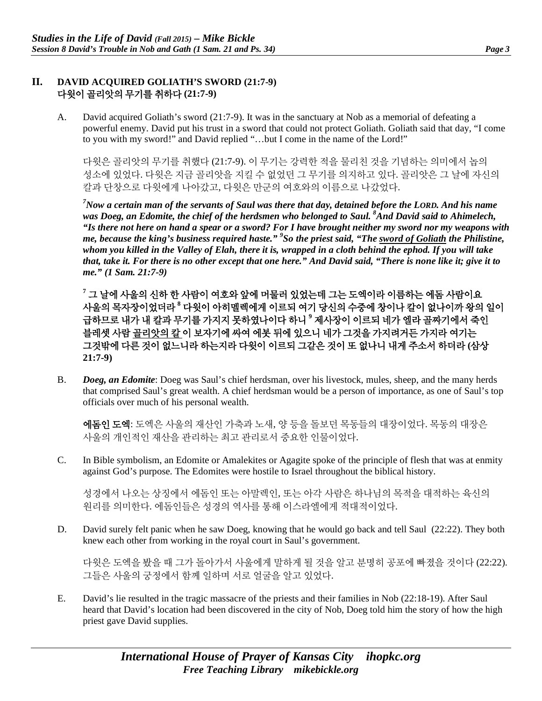### **II. DAVID ACQUIRED GOLIATH'S SWORD (21:7-9)** 다윗이 골리앗의 무기를 취하다 **(21:7-9)**

A. David acquired Goliath's sword (21:7-9). It was in the sanctuary at Nob as a memorial of defeating a powerful enemy. David put his trust in a sword that could not protect Goliath. Goliath said that day, "I come to you with my sword!" and David replied "…but I come in the name of the Lord!"

다윗은 골리앗의 무기를 취했다 (21:7-9). 이 무기는 강력한 적을 물리친 것을 기념하는 의미에서 놉의 성소에 있었다. 다윗은 지금 골리앗을 지킬 수 없었던 그 무기를 의지하고 있다. 골리앗은 그 날에 자신의 칼과 단창으로 다윗에게 나아갔고, 다윗은 만군의 여호와의 이름으로 나갔었다.

*7 Now a certain man of the servants of Saul was there that day, detained before the LORD. And his name was Doeg, an Edomite, the chief of the herdsmen who belonged to Saul. 8 And David said to Ahimelech, "Is there not here on hand a spear or a sword? For I have brought neither my sword nor my weapons with me, because the king's business required haste." <sup>9</sup> So the priest said, "The sword of Goliath the Philistine, whom you killed in the Valley of Elah, there it is, wrapped in a cloth behind the ephod. If you will take that, take it. For there is no other except that one here." And David said, "There is none like it; give it to me." (1 Sam. 21:7-9)*

**<sup>7</sup>** 그 날에 사울의 신하 한 사람이 여호와 앞에 머물러 있었는데 그는 도엑이라 이름하는 에돔 사람이요 사울의 목자장이었더라 **<sup>8</sup>** 다윗이 아히멜렉에게 이르되 여기 당신의 수중에 창이나 칼이 없나이까 왕의 일이 급하므로 내가 내 칼과 무기를 가지지 못하였나이다 하니 **<sup>9</sup>** 제사장이 이르되 네가 엘라 골짜기에서 죽인 블레셋 사람 골리앗의 칼 이 보자기에 싸여 에봇 뒤에 있으니 네가 그것을 가지려거든 가지라 여기는 그것밖에 다른 것이 없느니라 하는지라 다윗이 이르되 그같은 것이 또 없나니 내게 주소서 하더라 **(**삼상 **21:7-9)**

B. *Doeg, an Edomite*: Doeg was Saul's chief herdsman, over his livestock, mules, sheep, and the many herds that comprised Saul's great wealth. A chief herdsman would be a person of importance, as one of Saul's top officials over much of his personal wealth.

에돔인 도엑: 도엑은 사울의 재산인 가축과 노새, 양 등을 돌보던 목동들의 대장이었다. 목동의 대장은 사울의 개인적인 재산을 관리하는 최고 관리로서 중요한 인물이었다.

C. In Bible symbolism, an Edomite or Amalekites or Agagite spoke of the principle of flesh that was at enmity against God's purpose. The Edomites were hostile to Israel throughout the biblical history.

성경에서 나오는 상징에서 에돔인 또는 아말렉인, 또는 아각 사람은 하나님의 목적을 대적하는 육신의 원리를 의미한다. 에돔인들은 성경의 역사를 통해 이스라엘에게 적대적이었다.

D. David surely felt panic when he saw Doeg, knowing that he would go back and tell Saul (22:22). They both knew each other from working in the royal court in Saul's government.

다윗은 도엑을 봤을 때 그가 돌아가서 사울에게 말하게 될 것을 알고 분명히 공포에 빠졌을 것이다 (22:22). 그들은 사울의 궁정에서 함께 일하며 서로 얼굴을 알고 있었다.

E. David's lie resulted in the tragic massacre of the priests and their families in Nob (22:18-19). After Saul heard that David's location had been discovered in the city of Nob, Doeg told him the story of how the high priest gave David supplies.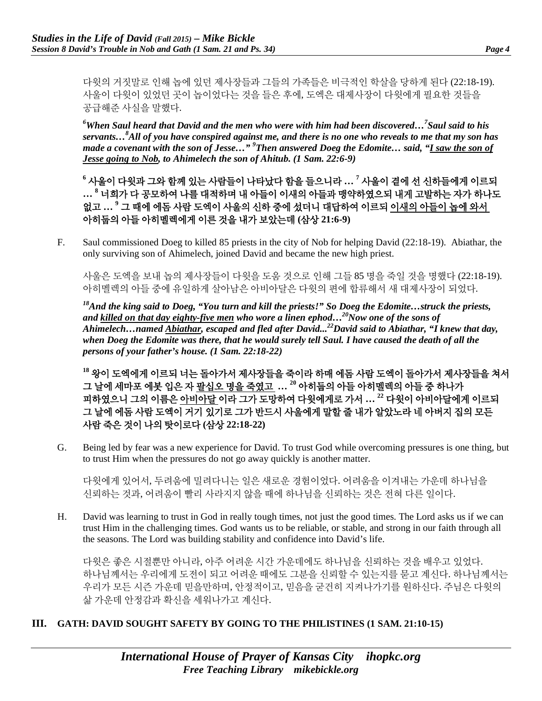다윗의 거짓말로 인해 놉에 있던 제사장들과 그들의 가족들은 비극적인 학살을 당하게 된다 (22:18-19). 사울이 다윗이 있었던 곳이 놉이었다는 것을 들은 후에, 도엑은 대제사장이 다윗에게 필요한 것들을 공급해준 사실을 말했다.

*6 When Saul heard that David and the men who were with him had been discovered…7 Saul said to his servants…8 All of you have conspired against me, and there is no one who reveals to me that my son has made a covenant with the son of Jesse…" 9 Then answered Doeg the Edomite… said, "I saw the son of Jesse going to Nob, to Ahimelech the son of Ahitub. (1 Sam. 22:6-9)*

**<sup>6</sup>** 사울이 다윗과 그와 함께 있는 사람들이 나타났다 함을 들으니라 **… <sup>7</sup>** 사울이 곁에 선 신하들에게 이르되 **… <sup>8</sup>** 너희가 다 공모하여 나를 대적하며 내 아들이 이새의 아들과 맹약하였으되 내게 고발하는 자가 하나도 없고 **… <sup>9</sup>** 그 때에 에돔 사람 도엑이 사울의 신하 중에 섰더니 대답하여 이르되 이새의 아들이 놉에 와서 아히둡의 아들 아히멜렉에게 이른 것을 내가 보았는데 **(**삼상 **21:6-9)**

F. Saul commissioned Doeg to killed 85 priests in the city of Nob for helping David (22:18-19). Abiathar, the only surviving son of Ahimelech, joined David and became the new high priest.

사울은 도엑을 보내 놉의 제사장들이 다윗을 도움 것으로 인해 그들 85 명을 죽일 것을 명했다 (22:18-19). 아히멜렉의 아들 중에 유일하게 살아남은 아비아달은 다윗의 편에 합류해서 새 대제사장이 되었다.

*18And the king said to Doeg, "You turn and kill the priests!" So Doeg the Edomite…struck the priests, and killed on that day eighty-five men who wore a linen ephod…20Now one of the sons of Ahimelech…named Abiathar, escaped and fled after David... 22David said to Abiathar, "I knew that day, when Doeg the Edomite was there, that he would surely tell Saul. I have caused the death of all the persons of your father's house. (1 Sam. 22:18-22)*

**<sup>18</sup>** 왕이 도엑에게 이르되 너는 돌아가서 제사장들을 죽이라 하매 에돔 사람 도엑이 돌아가서 제사장들을 쳐서 그 날에 세마포 에봇 입은 자 팔십오 명을 죽였고 **… <sup>20</sup>** 아히둡의 아들 아히멜렉의 아들 중 하나가 피하였으니 그의 이름은 아비아달 이라 그가 도망하여 다윗에게로 가서 **… <sup>22</sup>** 다윗이 아비아달에게 이르되 그 날에 에돔 사람 도엑이 거기 있기로 그가 반드시 사울에게 말할 줄 내가 알았노라 네 아버지 집의 모든 사람 죽은 것이 나의 탓이로다 **(**삼상 **22:18-22)**

G. Being led by fear was a new experience for David. To trust God while overcoming pressures is one thing, but to trust Him when the pressures do not go away quickly is another matter.

다윗에게 있어서, 두려움에 밀려다니는 일은 새로운 경험이었다. 어려움을 이겨내는 가운데 하나님을 신뢰하는 것과, 어려움이 빨리 사라지지 않을 때에 하나님을 신뢰하는 것은 전혀 다른 일이다.

H. David was learning to trust in God in really tough times, not just the good times. The Lord asks us if we can trust Him in the challenging times. God wants us to be reliable, or stable, and strong in our faith through all the seasons. The Lord was building stability and confidence into David's life.

다윗은 좋은 시절뿐만 아니라, 아주 어려운 시간 가운데에도 하나님을 신뢰하는 것을 배우고 있었다. 하나님께서는 우리에게 도전이 되고 어려운 때에도 그분을 신뢰할 수 있는지를 묻고 계신다. 하나님께서는 우리가 모든 시즌 가운데 믿을만하며, 안정적이고, 믿음을 굳건히 지켜나가기를 원하신다. 주님은 다윗의 삶 가운데 안정감과 확신을 세워나가고 계신다.

## **III. GATH: DAVID SOUGHT SAFETY BY GOING TO THE PHILISTINES (1 SAM. 21:10-15)**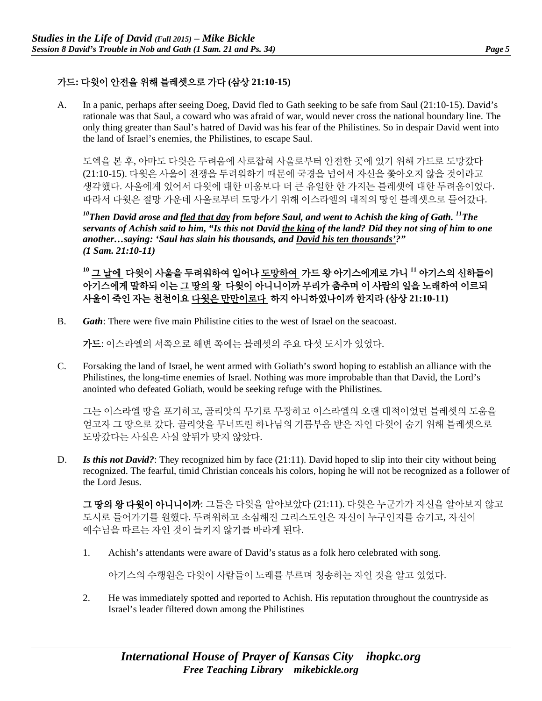## 가드**:** 다윗이 안전을 위해 블레셋으로 가다 **(**삼상 **21:10-15)**

A. In a panic, perhaps after seeing Doeg, David fled to Gath seeking to be safe from Saul (21:10-15). David's rationale was that Saul, a coward who was afraid of war, would never cross the national boundary line. The only thing greater than Saul's hatred of David was his fear of the Philistines. So in despair David went into the land of Israel's enemies, the Philistines, to escape Saul.

도엑을 본 후, 아마도 다윗은 두려움에 사로잡혀 사울로부터 안전한 곳에 있기 위해 가드로 도망갔다 (21:10-15). 다윗은 사울이 전쟁을 두려워하기 때문에 국경을 넘어서 자신을 쫓아오지 않을 것이라고 생각했다. 사울에게 있어서 다윗에 대한 미움보다 더 큰 유일한 한 가지는 블레셋에 대한 두려움이었다. 따라서 다윗은 절망 가운데 사울로부터 도망가기 위해 이스라엘의 대적의 땅인 블레셋으로 들어갔다.

*10Then David arose and fled that day from before Saul, and went to Achish the king of Gath. 11The servants of Achish said to him, "Is this not David the king of the land? Did they not sing of him to one another…saying: 'Saul has slain his thousands, and David his ten thousands'?" (1 Sam. 21:10-11)*

**<sup>10</sup>** 그 날에 다윗이 사울을 두려워하여 일어나 도망하여 가드 왕 아기스에게로 가니 **<sup>11</sup>** 아기스의 신하들이 아기스에게 말하되 이는 그 땅의 왕 다윗이 아니니이까 무리가 춤추며 이 사람의 일을 노래하여 이르되 사울이 죽인 자는 천천이요 다윗은 만만이로다 하지 아니하였나이까 한지라 **(**삼상 **21:10-11)**

B. *Gath*: There were five main Philistine cities to the west of Israel on the seacoast.

가드: 이스라엘의 서쪽으로 해변 쪽에는 블레셋의 주요 다섯 도시가 있었다.

C. Forsaking the land of Israel, he went armed with Goliath's sword hoping to establish an alliance with the Philistines, the long-time enemies of Israel. Nothing was more improbable than that David, the Lord's anointed who defeated Goliath, would be seeking refuge with the Philistines.

그는 이스라엘 땅을 포기하고, 골리앗의 무기로 무장하고 이스라엘의 오랜 대적이었던 블레셋의 도움을 얻고자 그 땅으로 갔다. 골리앗을 무너뜨린 하나님의 기름부음 받은 자인 다윗이 숨기 위해 블레셋으로 도망갔다는 사실은 사실 앞뒤가 맞지 않았다.

D. **Is this not David?**: They recognized him by face (21:11). David hoped to slip into their city without being recognized. The fearful, timid Christian conceals his colors, hoping he will not be recognized as a follower of the Lord Jesus.

그 땅의 왕 다윗이 아니니이까: 그들은 다윗을 알아보았다 (21:11). 다윗은 누군가가 자신을 알아보지 않고 도시로 들어가기를 원했다. 두려워하고 소심해진 그리스도인은 자신이 누구인지를 숨기고, 자신이 예수님을 따르는 자인 것이 들키지 않기를 바라게 된다.

1. Achish's attendants were aware of David's status as a folk hero celebrated with song.

아기스의 수행원은 다윗이 사람들이 노래를 부르며 칭송하는 자인 것을 알고 있었다.

2. He was immediately spotted and reported to Achish. His reputation throughout the countryside as Israel's leader filtered down among the Philistines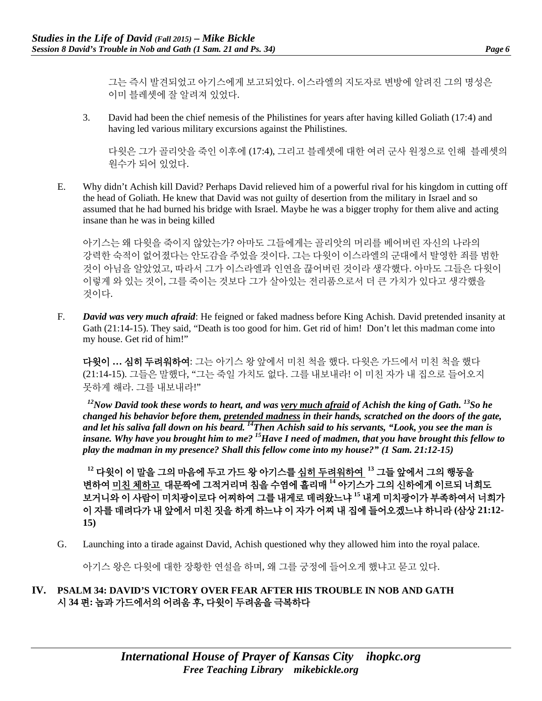그는 즉시 발견되었고 아기스에게 보고되었다. 이스라엘의 지도자로 변방에 알려진 그의 명성은 이미 블레셋에 잘 알려져 있었다.

3. David had been the chief nemesis of the Philistines for years after having killed Goliath (17:4) and having led various military excursions against the Philistines.

다윗은 그가 골리앗을 죽인 이후에 (17:4), 그리고 블레셋에 대한 여러 군사 원정으로 인해 블레셋의 원수가 되어 있었다.

E. Why didn't Achish kill David? Perhaps David relieved him of a powerful rival for his kingdom in cutting off the head of Goliath. He knew that David was not guilty of desertion from the military in Israel and so assumed that he had burned his bridge with Israel. Maybe he was a bigger trophy for them alive and acting insane than he was in being killed

아기스는 왜 다윗을 죽이지 않았는가? 아마도 그들에게는 골리앗의 머리를 베어버린 자신의 나라의 강력한 숙적이 없어졌다는 안도감을 주었을 것이다. 그는 다윗이 이스라엘의 군대에서 탈영한 죄를 범한 것이 아님을 알았었고, 따라서 그가 이스라엘과 인연을 끊어버린 것이라 생각했다. 아마도 그들은 다윗이 이렇게 와 있는 것이, 그를 죽이는 것보다 그가 살아있는 전리품으로서 더 큰 가치가 있다고 생각했을 것이다.

F. *David was very much afraid*: He feigned or faked madness before King Achish. David pretended insanity at Gath (21:14-15). They said, "Death is too good for him. Get rid of him! Don't let this madman come into my house. Get rid of him!"

다윗이 **…** 심히 두려워하여: 그는 아기스 왕 앞에서 미친 척을 했다. 다윗은 가드에서 미친 척을 했다 (21:14-15). 그들은 말했다, "그는 죽일 가치도 없다. 그를 내보내라! 이 미친 자가 내 집으로 들어오지 못하게 해라. 그를 내보내라!"

*12Now David took these words to heart, and was very much afraid of Achish the king of Gath. 13So he changed his behavior before them, pretended madness in their hands, scratched on the doors of the gate, and let his saliva fall down on his beard. 14Then Achish said to his servants, "Look, you see the man is insane. Why have you brought him to me? 15Have I need of madmen, that you have brought this fellow to play the madman in my presence? Shall this fellow come into my house?" (1 Sam. 21:12-15)*

**<sup>12</sup>** 다윗이 이 말을 그의 마음에 두고 가드 왕 아기스를 심히 두려워하여 **<sup>13</sup>** 그들 앞에서 그의 행동을 변하여 미친 체하고 대문짝에 그적거리며 침을 수염에 흘리매 **<sup>14</sup>** 아기스가 그의 신하에게 이르되 너희도 보거니와 이 사람이 미치광이로다 어찌하여 그를 내게로 데려왔느냐 **<sup>15</sup>** 내게 미치광이가 부족하여서 너희가 이 자를 데려다가 내 앞에서 미친 짓을 하게 하느냐 이 자가 어찌 내 집에 들어오겠느냐 하니라 **(**삼상 **21:12- 15)**

G. Launching into a tirade against David, Achish questioned why they allowed him into the royal palace.

아기스 왕은 다윗에 대한 장황한 연설을 하며, 왜 그를 궁정에 들어오게 했냐고 묻고 있다.

#### **IV. PSALM 34: DAVID'S VICTORY OVER FEAR AFTER HIS TROUBLE IN NOB AND GATH**  시 **34** 편**:** 놉과 가드에서의 어려움 후**,** 다윗이 두려움을 극복하다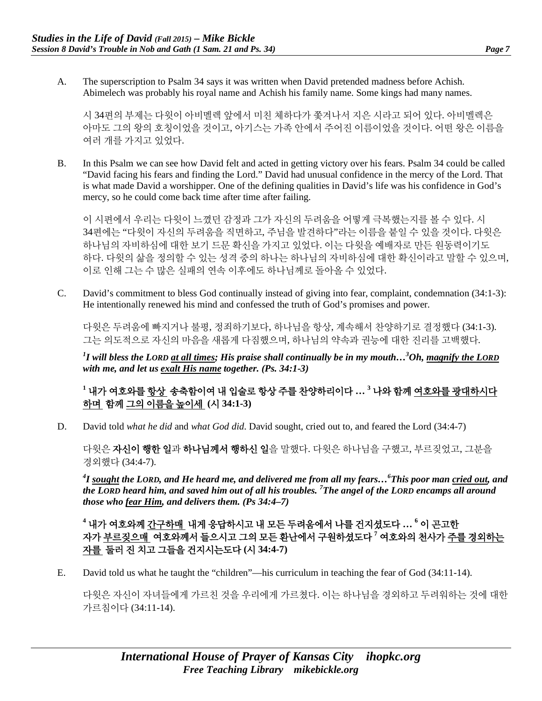- 
- A. The superscription to Psalm 34 says it was written when David pretended madness before Achish. Abimelech was probably his royal name and Achish his family name. Some kings had many names.

시 34편의 부제는 다윗이 아비멜렉 앞에서 미친 체하다가 쫓겨나서 지은 시라고 되어 있다. 아비멜렉은 아마도 그의 왕의 호칭이었을 것이고, 아기스는 가족 안에서 주어진 이름이었을 것이다. 어떤 왕은 이름을 여러 개를 가지고 있었다.

B. In this Psalm we can see how David felt and acted in getting victory over his fears. Psalm 34 could be called "David facing his fears and finding the Lord." David had unusual confidence in the mercy of the Lord. That is what made David a worshipper. One of the defining qualities in David's life was his confidence in God's mercy, so he could come back time after time after failing.

이 시편에서 우리는 다윗이 느꼈던 감정과 그가 자신의 두려움을 어떻게 극복했는지를 볼 수 있다. 시 34편에는 "다윗이 자신의 두려움을 직면하고, 주님을 발견하다"라는 이름을 붙일 수 있을 것이다. 다윗은 하나님의 자비하심에 대한 보기 드문 확신을 가지고 있었다. 이는 다윗을 예배자로 만든 원동력이기도 하다. 다윗의 삶을 정의할 수 있는 성격 중의 하나는 하나님의 자비하심에 대한 확신이라고 말할 수 있으며, 이로 인해 그는 수 많은 실패의 연속 이후에도 하나님께로 돌아올 수 있었다.

C. David's commitment to bless God continually instead of giving into fear, complaint, condemnation (34:1-3): He intentionally renewed his mind and confessed the truth of God's promises and power.

다윗은 두려움에 빠지거나 불평, 정죄하기보다, 하나님을 항상, 계속해서 찬양하기로 결정했다 (34:1-3). 그는 의도적으로 자신의 마음을 새롭게 다짐했으며, 하나님의 약속과 권능에 대한 진리를 고백했다.

*1 I will bless the LORD at all times; His praise shall continually be in my mouth…3 Oh, magnify the LORD with me, and let us exalt His name together. (Ps. 34:1-3)*

**<sup>1</sup>** 내가 여호와를 항상 송축함이여 내 입술로 항상 주를 찬양하리이다 **… 3** 나와 함께 여호와를 광대하시다 하며 함께 그의 이름을 높이세 **(**시 **34:1-3)**

D. David told *what he did* and *what God did*. David sought, cried out to, and feared the Lord (34:4-7)

다윗은 자신이 행한 일과 하나님께서 행하신 일을 말했다. 다윗은 하나님을 구했고, 부르짖었고, 그분을 경외했다 (34:4-7).

*4 I sought the LORD, and He heard me, and delivered me from all my fears…6 This poor man cried out, and the LORD heard him, and saved him out of all his troubles. <sup>7</sup> The angel of the LORD encamps all around those who fear Him, and delivers them. (Ps 34:4–7)*

**<sup>4</sup>** 내가 여호와께 간구하매 내게 응답하시고 내 모든 두려움에서 나를 건지셨도다 **… <sup>6</sup>** 이 곤고한 자가 부르짖으매 여호와께서 들으시고 그의 모든 환난에서 구원하셨도다 **<sup>7</sup>** 여호와의 천사가 주를 경외하는 자를 둘러 진 치고 그들을 건지시는도다 **(**시 **34:4-7)**

E. David told us what he taught the "children"—his curriculum in teaching the fear of God (34:11-14).

다윗은 자신이 자녀들에게 가르친 것을 우리에게 가르쳤다. 이는 하나님을 경외하고 두려워하는 것에 대한 가르침이다 (34:11-14).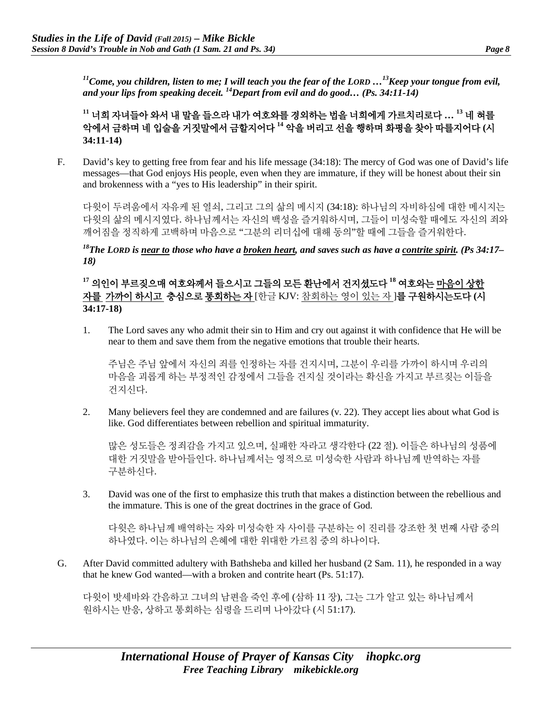*11Come, you children, listen to me; I will teach you the fear of the LORD …13Keep your tongue from evil, and your lips from speaking deceit. 14Depart from evil and do good… (Ps. 34:11-14)*

**<sup>11</sup>** 너희 자녀들아 와서 내 말을 들으라 내가 여호와를 경외하는 법을 너희에게 가르치리로다 **… <sup>13</sup>** 네 혀를 악에서 금하며 네 입술을 거짓말에서 금할지어다 **<sup>14</sup>** 악을 버리고 선을 행하며 화평을 찾아 따를지어다 **(**시 **34:11-14)**

F. David's key to getting free from fear and his life message (34:18): The mercy of God was one of David's life messages—that God enjoys His people, even when they are immature, if they will be honest about their sin and brokenness with a "yes to His leadership" in their spirit.

다윗이 두려움에서 자유케 된 열쇠, 그리고 그의 삶의 메시지 (34:18): 하나님의 자비하심에 대한 메시지는 다윗의 삶의 메시지였다. 하나님께서는 자신의 백성을 즐거워하시며, 그들이 미성숙할 때에도 자신의 죄와 깨어짐을 정직하게 고백하며 마음으로 "그분의 리더십에 대해 동의"할 때에 그들을 즐거워한다.

*18The LORD is near to those who have a broken heart, and saves such as have a contrite spirit. (Ps 34:17– 18)*

**<sup>17</sup>** 의인이 부르짖으매 여호와께서 들으시고 그들의 모든 환난에서 건지셨도다 **<sup>18</sup>** 여호와는 마음이 상한 자를 가까이 하시고 충심으로 통회하는 자 [한글 KJV: 참회하는 영이 있는 자 ]를 구원하시는도다 **(**시 **34:17-18)**

1. The Lord saves any who admit their sin to Him and cry out against it with confidence that He will be near to them and save them from the negative emotions that trouble their hearts.

주님은 주님 앞에서 자신의 죄를 인정하는 자를 건지시며, 그분이 우리를 가까이 하시며 우리의 마음을 괴롭게 하는 부정적인 감정에서 그들을 건지실 것이라는 확신을 가지고 부르짖는 이들을 건지신다.

2. Many believers feel they are condemned and are failures (v. 22). They accept lies about what God is like. God differentiates between rebellion and spiritual immaturity.

많은 성도들은 정죄감을 가지고 있으며, 실패한 자라고 생각한다 (22 절). 이들은 하나님의 성품에 대한 거짓말을 받아들인다. 하나님께서는 영적으로 미성숙한 사람과 하나님께 반역하는 자를 구분하신다.

3. David was one of the first to emphasize this truth that makes a distinction between the rebellious and the immature. This is one of the great doctrines in the grace of God.

다윗은 하나님께 배역하는 자와 미성숙한 자 사이를 구분하는 이 진리를 강조한 첫 번째 사람 중의 하나였다. 이는 하나님의 은혜에 대한 위대한 가르침 중의 하나이다.

G. After David committed adultery with Bathsheba and killed her husband (2 Sam. 11), he responded in a way that he knew God wanted—with a broken and contrite heart (Ps. 51:17).

다윗이 밧세바와 간음하고 그녀의 남편을 죽인 후에 (삼하 11 장), 그는 그가 알고 있는 하나님께서 원하시는 반응, 상하고 통회하는 심령을 드리며 나아갔다 (시 51:17).